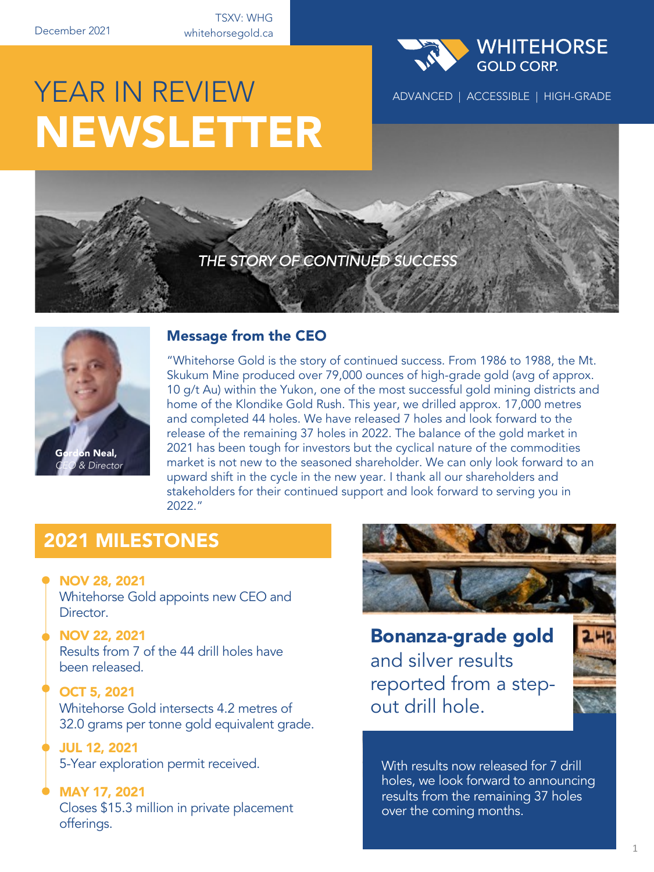whitehorsegold.ca TSXV: WHG



ADVANCED | ACCESSIBLE | HIGH-GRADE

# YEAR IN REVIEW NEWSLETTER

*THE STORY OF CONTINUED SUCCESS*



#### Message from the CEO

"Whitehorse Gold is the story of continued success. From 1986 to 1988, the Mt. Skukum Mine produced over 79,000 ounces of high-grade gold (avg of approx. 10 g/t Au) within the Yukon, one of the most successful gold mining districts and home of the Klondike Gold Rush. This year, we drilled approx. 17,000 metres and completed 44 holes. We have released 7 holes and look forward to the release of the remaining 37 holes in 2022. The balance of the gold market in 2021 has been tough for investors but the cyclical nature of the commodities market is not new to the seasoned shareholder. We can only look forward to an upward shift in the cycle in the new year. I thank all our shareholders and stakeholders for their continued support and look forward to serving you in 2022."

## 2021 MILESTONES

NOV 28, 2021

Whitehorse Gold appoints new CEO and Director.

- NOV 22, 2021 Results from 7 of the 44 drill holes have been released.
- OCT 5, 2021 Whitehorse Gold intersects 4.2 metres of 32.0 grams per tonne gold equivalent grade.
- JUL 12, 2021 5-Year exploration permit received.

#### MAY 17, 2021

Closes \$15.3 million in private placement offerings.



Bonanza-grade gold and silver results reported from a stepout drill hole.

With results now released for 7 drill holes, we look forward to announcing results from the remaining 37 holes over the coming months.